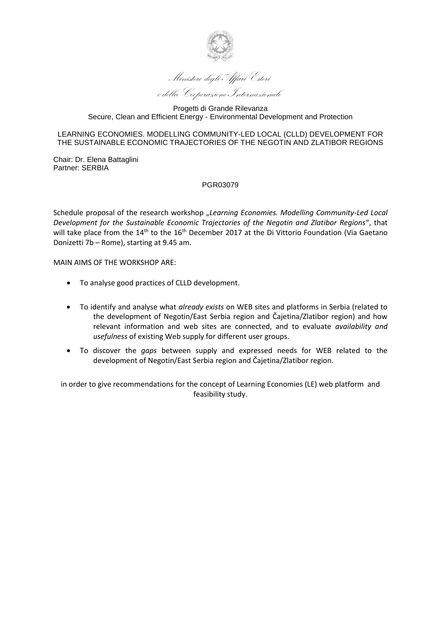

Ministero degli Affari Esteri e della Cooperazione Internazionale

#### LEARNING ECONOMIES. MODELLING COMMUNITY-LED LOCAL (CLLD) DEVELOPMENT FOR THE SUSTAINABLE ECONOMIC TRAJECTORIES OF THE NEGOTIN AND ZLATIBOR REGIONS

Chair: Dr. Elena Battaglini Partner: SERBIA

# PGR03079

Schedule proposal of the research workshop "Learning Economies. Modelling Community-Led Local *Development for the Sustainable Economic Trajectories оf the Negotin аnd Zlatibor Regions*", that will take place from the 14<sup>th</sup> to the 16<sup>th</sup> December 2017 at the Di Vittorio Foundation (Via Gaetano Donizetti 7b – Rome), starting at 9.45 am.

MAIN AIMS OF THE WORKSHOP ARE:

- To analyse good practices of CLLD development.
- To identify and analyse what *already exists* on WEB sites and platforms in Serbia (related to the development of Negotin/East Serbia region and Čajetina/Zlatibor region) and how relevant information and web sites are connected, and to evaluate *availability and usefulness* of existing Web supply for different user groups.
- To discover the *gaps* between supply and expressed needs for WEB related to the development of Negotin/East Serbia region and Čajetina/Zlatibor region.

in order to give recommendations for the concept of Learning Economies (LE) web platform and feasibility study.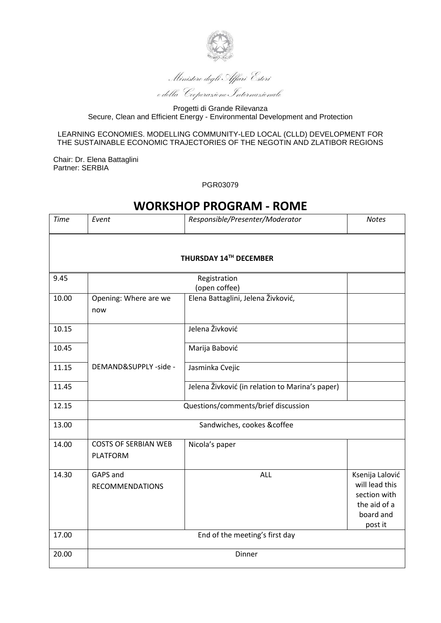

Ministero degli Affari Esteri e della Cooperazione Internazionale

#### LEARNING ECONOMIES. MODELLING COMMUNITY-LED LOCAL (CLLD) DEVELOPMENT FOR THE SUSTAINABLE ECONOMIC TRAJECTORIES OF THE NEGOTIN AND ZLATIBOR REGIONS

Chair: Dr. Elena Battaglini Partner: SERBIA

PGR03079

# **WORKSHOP PROGRAM - ROME**

| <b>Time</b>            | Event                               | Responsible/Presenter/Moderator                 | <b>Notes</b>    |  |  |
|------------------------|-------------------------------------|-------------------------------------------------|-----------------|--|--|
|                        |                                     |                                                 |                 |  |  |
| THURSDAY 14TH DECEMBER |                                     |                                                 |                 |  |  |
|                        |                                     |                                                 |                 |  |  |
| 9.45                   |                                     | Registration<br>(open coffee)                   |                 |  |  |
|                        |                                     |                                                 |                 |  |  |
| 10.00                  | Opening: Where are we               | Elena Battaglini, Jelena Živković,              |                 |  |  |
|                        | now                                 |                                                 |                 |  |  |
| 10.15                  |                                     | Jelena Živković                                 |                 |  |  |
| 10.45                  |                                     | Marija Babović                                  |                 |  |  |
|                        |                                     |                                                 |                 |  |  |
| 11.15                  | DEMAND&SUPPLY -side -               | Jasminka Cvejic                                 |                 |  |  |
| 11.45                  |                                     | Jelena Živković (in relation to Marina's paper) |                 |  |  |
|                        |                                     |                                                 |                 |  |  |
| 12.15                  | Questions/comments/brief discussion |                                                 |                 |  |  |
| 13.00                  |                                     | Sandwiches, cookes &coffee                      |                 |  |  |
|                        |                                     |                                                 |                 |  |  |
| 14.00                  | <b>COSTS OF SERBIAN WEB</b>         | Nicola's paper                                  |                 |  |  |
|                        | <b>PLATFORM</b>                     |                                                 |                 |  |  |
| 14.30                  | GAPS and                            | <b>ALL</b>                                      | Ksenija Lalović |  |  |
|                        | <b>RECOMMENDATIONS</b>              |                                                 | will lead this  |  |  |
|                        |                                     |                                                 | section with    |  |  |
|                        |                                     |                                                 | the aid of a    |  |  |
|                        |                                     |                                                 | board and       |  |  |
|                        |                                     |                                                 | post it         |  |  |
| 17.00                  | End of the meeting's first day      |                                                 |                 |  |  |
| 20.00                  | Dinner                              |                                                 |                 |  |  |
|                        |                                     |                                                 |                 |  |  |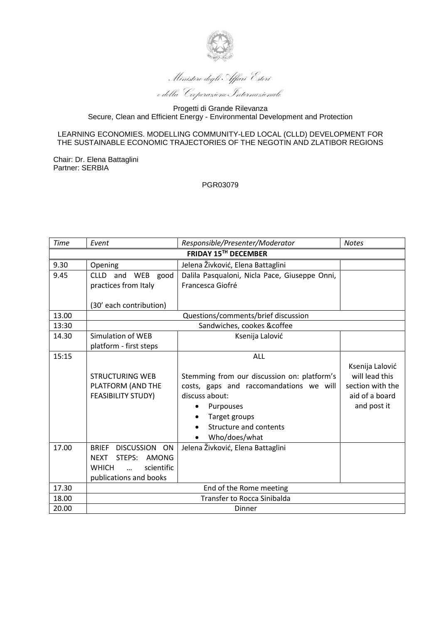

Ministero degli Affari Esteri e della Cooperazione Internazionale

#### LEARNING ECONOMIES. MODELLING COMMUNITY-LED LOCAL (CLLD) DEVELOPMENT FOR THE SUSTAINABLE ECONOMIC TRAJECTORIES OF THE NEGOTIN AND ZLATIBOR REGIONS

Chair: Dr. Elena Battaglini Partner: SERBIA

#### PGR03079

| <b>Time</b>          | Event                                  | Responsible/Presenter/Moderator               | <b>Notes</b>     |  |
|----------------------|----------------------------------------|-----------------------------------------------|------------------|--|
| FRIDAY 15TH DECEMBER |                                        |                                               |                  |  |
| 9.30                 | Opening                                | Jelena Živković, Elena Battaglini             |                  |  |
| 9.45                 | CLLD and WEB good                      | Dalila Pasqualoni, Nicla Pace, Giuseppe Onni, |                  |  |
|                      | practices from Italy                   | Francesca Giofré                              |                  |  |
|                      |                                        |                                               |                  |  |
|                      | (30' each contribution)                |                                               |                  |  |
| 13.00                | Questions/comments/brief discussion    |                                               |                  |  |
| 13:30                | Sandwiches, cookes &coffee             |                                               |                  |  |
| 14.30                | <b>Simulation of WEB</b>               | Ksenija Lalović                               |                  |  |
|                      | platform - first steps                 |                                               |                  |  |
| 15:15                |                                        | ALL                                           |                  |  |
|                      |                                        |                                               | Ksenija Lalović  |  |
|                      | <b>STRUCTURING WEB</b>                 | Stemming from our discussion on: platform's   | will lead this   |  |
|                      | PLATFORM (AND THE                      | costs, gaps and raccomandations we will       | section with the |  |
|                      | <b>FEASIBILITY STUDY)</b>              | discuss about:                                | aid of a board   |  |
|                      |                                        | Purpouses                                     | and post it      |  |
|                      |                                        | Target groups                                 |                  |  |
|                      |                                        | Structure and contents                        |                  |  |
|                      |                                        | Who/does/what                                 |                  |  |
| 17.00                | <b>BRIEF</b><br>DISCUSSION ON          | Jelena Živković, Elena Battaglini             |                  |  |
|                      | <b>NEXT</b><br>STEPS:<br>AMONG         |                                               |                  |  |
|                      | <b>WHICH</b><br>scientific<br>$\cdots$ |                                               |                  |  |
|                      | publications and books                 |                                               |                  |  |
| 17.30                | End of the Rome meeting                |                                               |                  |  |
| 18.00                | <b>Transfer to Rocca Sinibalda</b>     |                                               |                  |  |
| 20.00                | <b>Dinner</b>                          |                                               |                  |  |